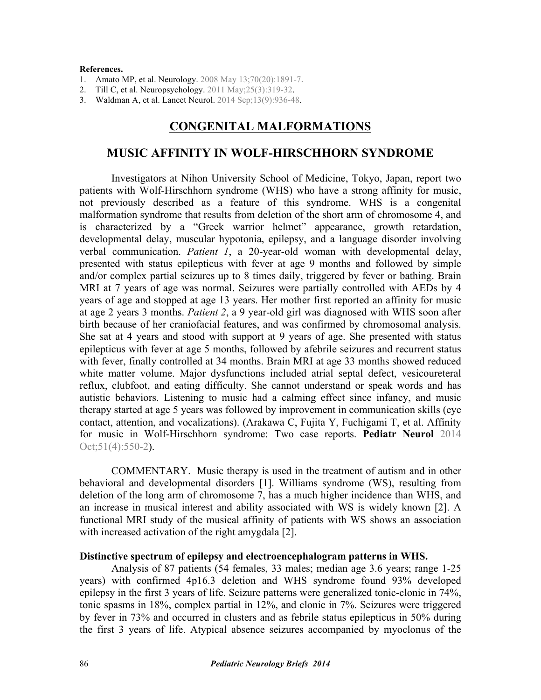#### **References.**

- 1. [Amato MP, et al. Neurology. 2008 May 13;70\(20\):1891-7.](http://dx.doi.org/10.1212/01.wnl.0000312276.23177.fa)
- 2. [Till C, et al. Neuropsychology. 2011 May;25\(3\):319-32](http://dx.doi.org/10.1037/a0022051).
- 3. Waldman A, [et al. Lancet Neurol. 2014 Sep;13\(9\):936-48](http://dx.doi.org/10.1016/S1474-4422(14)70093-6).

# **CONGENITAL MALFORMATIONS**

## **MUSIC AFFINITY IN WOLF-HIRSCHHORN SYNDROME**

Investigators at Nihon University School of Medicine, Tokyo, Japan, report two patients with Wolf-Hirschhorn syndrome (WHS) who have a strong affinity for music, not previously described as a feature of this syndrome. WHS is a congenital malformation syndrome that results from deletion of the short arm of chromosome 4, and is characterized by a "Greek warrior helmet" appearance, growth retardation, developmental delay, muscular hypotonia, epilepsy, and a language disorder involving verbal communication. *Patient 1*, a 20-year-old woman with developmental delay, presented with status epilepticus with fever at age 9 months and followed by simple and/or complex partial seizures up to 8 times daily, triggered by fever or bathing. Brain MRI at 7 years of age was normal. Seizures were partially controlled with AEDs by 4 years of age and stopped at age 13 years. Her mother first reported an affinity for music at age 2 years 3 months. *Patient 2*, a 9 year-old girl was diagnosed with WHS soon after birth because of her craniofacial features, and was confirmed by chromosomal analysis. She sat at 4 years and stood with support at 9 years of age. She presented with status epilepticus with fever at age 5 months, followed by afebrile seizures and recurrent status with fever, finally controlled at 34 months. Brain MRI at age 33 months showed reduced white matter volume. Major dysfunctions included atrial septal defect, vesicoureteral reflux, clubfoot, and eating difficulty. She cannot understand or speak words and has autistic behaviors. Listening to music had a calming effect since infancy, and music therapy started at age 5 years was followed by improvement in communication skills (eye contact, attention, and vocalizations). (Arakawa C, Fujita Y, Fuchigami T, et al. Affinity [for music in Wolf-Hirschhorn syndrome: Two case reports.](http://dx.doi.org/10.1016/j.pediatrneurol.2014.07.012) **Pediatr Neurol** 2014 Oct; 51(4): 550-2).

 COMMENTARY. Music therapy is used in the treatment of autism and in other behavioral and developmental disorders [1]. Williams syndrome (WS), resulting from deletion of the long arm of chromosome 7, has a much higher incidence than WHS, and an increase in musical interest and ability associated with WS is widely known [2]. A functional MRI study of the musical affinity of patients with WS shows an association with increased activation of the right amygdala [2].

### **Distinctive spectrum of epilepsy and electroencephalogram patterns in WHS.**

Analysis of 87 patients (54 females, 33 males; median age 3.6 years; range 1-25 years) with confirmed 4p16.3 deletion and WHS syndrome found 93% developed epilepsy in the first 3 years of life. Seizure patterns were generalized tonic-clonic in 74%, tonic spasms in 18%, complex partial in 12%, and clonic in 7%. Seizures were triggered by fever in 73% and occurred in clusters and as febrile status epilepticus in 50% during the first 3 years of life. Atypical absence seizures accompanied by myoclonus of the